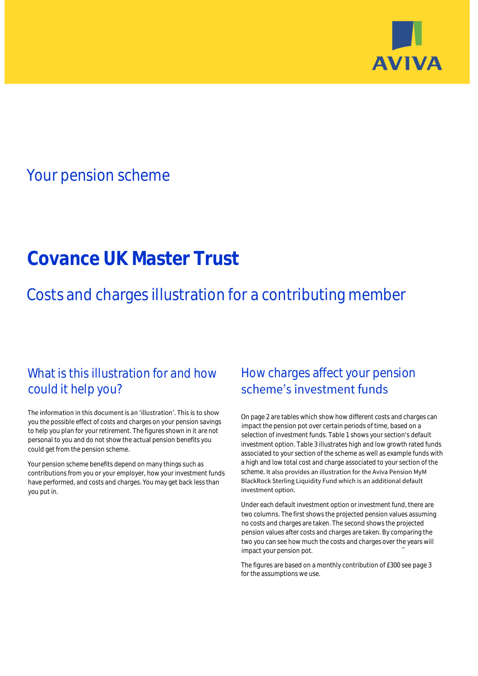

# Your pension scheme

# **Covance UK Master Trust**

Costs and charges illustration for a contributing member

# What is this illustration for and how could it help you?

### The information in this document is an 'illustration'. This is to show you the possible effect of costs and charges on your pension savings to help you plan for your retirement. The figures shown in it are not personal to you and do not show the actual pension benefits you could get from the pension scheme.

Your pension scheme benefits depend on many things such as contributions from you or your employer, how your investment funds have performed, and costs and charges. You may get back less than you put in.

# How charges affect your pension scheme's investment funds

On page 2 are tables which show how different costs and charges can impact the pension pot over certain periods of time, based on a selection of investment funds. Table 1 shows your section's default investment option. Table 3 illustrates high and low growth rated funds associated to your section of the scheme as well as example funds with a high and low total cost and charge associated to your section of the scheme. It also provides an illustration for the Aviva Pension MyM BlackRock Sterling Liquidity Fund which is an additional default investment option.

Under each default investment option or investment fund, there are two columns. The first shows the projected pension values assuming no costs and charges are taken. The second shows the projected pension values after costs and charges are taken. By comparing the two you can see how much the costs and charges over the years will impact your pension pot.

The figures are based on a monthly contribution of £300 see page 3 for the assumptions we use.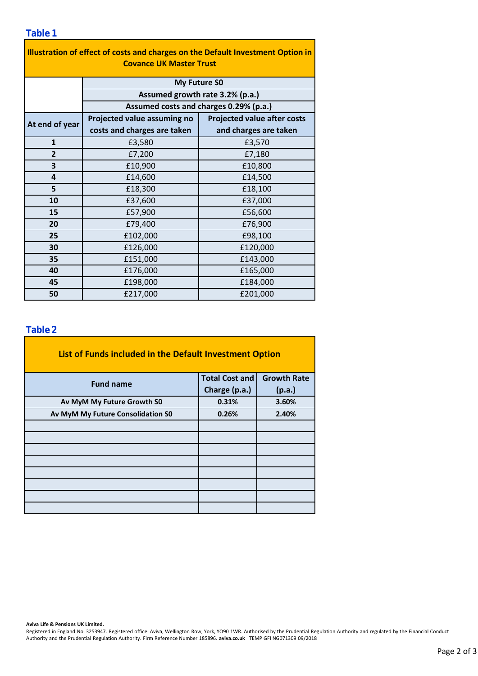| Illustration of effect of costs and charges on the Default Investment Option in<br><b>Covance UK Master Trust</b> |                                        |                                    |  |  |  |  |
|-------------------------------------------------------------------------------------------------------------------|----------------------------------------|------------------------------------|--|--|--|--|
|                                                                                                                   | My Future SO                           |                                    |  |  |  |  |
| Assumed growth rate 3.2% (p.a.)                                                                                   |                                        |                                    |  |  |  |  |
|                                                                                                                   | Assumed costs and charges 0.29% (p.a.) |                                    |  |  |  |  |
| At end of year                                                                                                    | Projected value assuming no            | <b>Projected value after costs</b> |  |  |  |  |
|                                                                                                                   | costs and charges are taken            | and charges are taken              |  |  |  |  |
| $\mathbf{1}$                                                                                                      | £3,580                                 | £3,570                             |  |  |  |  |
| $\overline{2}$                                                                                                    | £7,200                                 | £7,180                             |  |  |  |  |
| 3                                                                                                                 | £10,900                                | £10,800                            |  |  |  |  |
| 4                                                                                                                 | £14,600                                | £14,500                            |  |  |  |  |
| 5                                                                                                                 | £18,300                                | £18,100                            |  |  |  |  |
| 10                                                                                                                | £37,600                                | £37,000                            |  |  |  |  |
| 15                                                                                                                | £57,900                                | £56,600                            |  |  |  |  |
| 20                                                                                                                | £79,400                                | £76,900                            |  |  |  |  |
| 25                                                                                                                | £102,000                               | £98,100                            |  |  |  |  |
| 30                                                                                                                | £126,000                               | £120,000                           |  |  |  |  |
| 35                                                                                                                | £151,000                               | £143,000                           |  |  |  |  |
| 40                                                                                                                | £176,000                               | £165,000                           |  |  |  |  |
| 45                                                                                                                | £198,000                               | £184,000                           |  |  |  |  |
| 50                                                                                                                | £217,000                               | £201,000                           |  |  |  |  |

### **Table 2**

| List of Funds included in the Default Investment Option |                       |                    |
|---------------------------------------------------------|-----------------------|--------------------|
| <b>Fund name</b>                                        | <b>Total Cost and</b> | <b>Growth Rate</b> |
|                                                         | Charge (p.a.)         | (p.a.)             |
| Av MyM My Future Growth S0                              | 0.31%                 | 3.60%              |
| Av MyM My Future Consolidation S0                       | 0.26%                 | 2.40%              |
|                                                         |                       |                    |
|                                                         |                       |                    |
|                                                         |                       |                    |
|                                                         |                       |                    |
|                                                         |                       |                    |
|                                                         |                       |                    |
|                                                         |                       |                    |
|                                                         |                       |                    |

#### **Aviva Life & Pensions UK Limited.**

Registered in England No. 3253947. Registered office: Aviva, Wellington Row, York, YO90 1WR. Authorised by the Prudential Regulation Authority and regulated by the Financial Conduct Authority and the Prudential Regulation Authority. Firm Reference Number 185896. **aviva.co.uk** TEMP GFI NG071309 09/2018